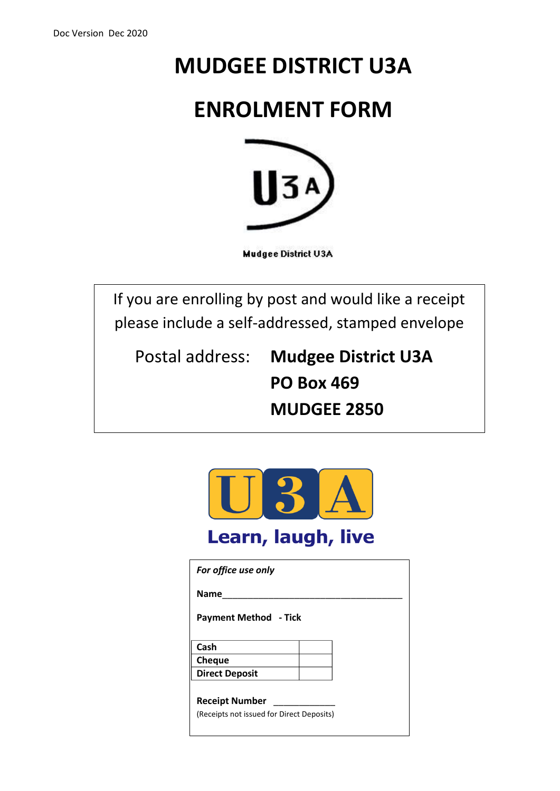# **MUDGEE DISTRICT U3A**

# **ENROLMENT FORM**



**Mudgee District U3A** 

If you are enrolling by post and would like a receipt please include a self-addressed, stamped envelope

Postal address: **Mudgee District U3A PO Box 469 MUDGEE 2850**



| <b>Name</b><br><b>Payment Method - Tick</b><br>Cash<br><b>Cheque</b><br><b>Direct Deposit</b><br><b>Receipt Number</b><br>(Receipts not issued for Direct Deposits) | For office use only |  |
|---------------------------------------------------------------------------------------------------------------------------------------------------------------------|---------------------|--|
|                                                                                                                                                                     |                     |  |
|                                                                                                                                                                     |                     |  |
|                                                                                                                                                                     |                     |  |
|                                                                                                                                                                     |                     |  |
|                                                                                                                                                                     |                     |  |
|                                                                                                                                                                     |                     |  |
|                                                                                                                                                                     |                     |  |
|                                                                                                                                                                     |                     |  |
|                                                                                                                                                                     |                     |  |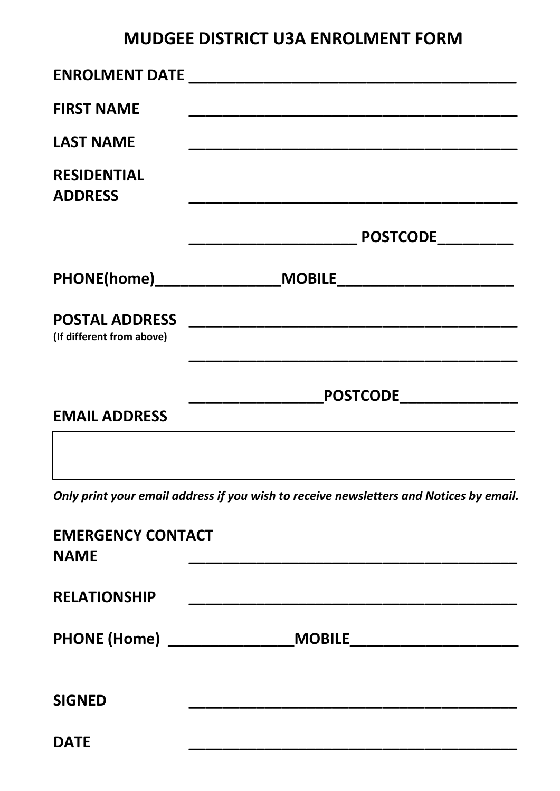### **MUDGEE DISTRICT U3A ENROLMENT FORM**

| <b>FIRST NAME</b>                    |                         |
|--------------------------------------|-------------------------|
| <b>LAST NAME</b>                     |                         |
| <b>RESIDENTIAL</b><br><b>ADDRESS</b> |                         |
|                                      | <b>POSTCODE</b>         |
|                                      |                         |
| (If different from above)            |                         |
|                                      | POSTCODE_______________ |
| <b>EMAIL ADDRESS</b>                 |                         |
|                                      |                         |

*Only print your email address if you wish to receive newsletters and Notices by email.*

| <b>EMERGENCY CONTACT</b><br><b>NAME</b> |               |
|-----------------------------------------|---------------|
| <b>RELATIONSHIP</b>                     |               |
| <b>PHONE (Home)</b> ________            | <b>MOBILE</b> |
| <b>SIGNED</b>                           |               |
| <b>DATE</b>                             |               |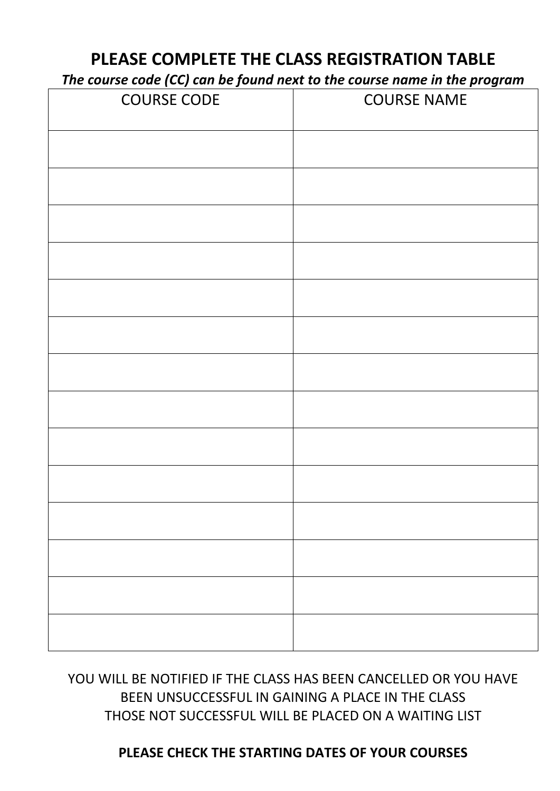### **PLEASE COMPLETE THE CLASS REGISTRATION TABLE**

*The course code (CC) can be found next to the course name in the program*

| <b>COURSE CODE</b> | The course code (ed) can be journalized to the course name in the program<br><b>COURSE NAME</b> |  |
|--------------------|-------------------------------------------------------------------------------------------------|--|
|                    |                                                                                                 |  |
|                    |                                                                                                 |  |
|                    |                                                                                                 |  |
|                    |                                                                                                 |  |
|                    |                                                                                                 |  |
|                    |                                                                                                 |  |
|                    |                                                                                                 |  |
|                    |                                                                                                 |  |
|                    |                                                                                                 |  |
|                    |                                                                                                 |  |
|                    |                                                                                                 |  |
|                    |                                                                                                 |  |
|                    |                                                                                                 |  |
|                    |                                                                                                 |  |

YOU WILL BE NOTIFIED IF THE CLASS HAS BEEN CANCELLED OR YOU HAVE BEEN UNSUCCESSFUL IN GAINING A PLACE IN THE CLASS THOSE NOT SUCCESSFUL WILL BE PLACED ON A WAITING LIST

#### **PLEASE CHECK THE STARTING DATES OF YOUR COURSES**